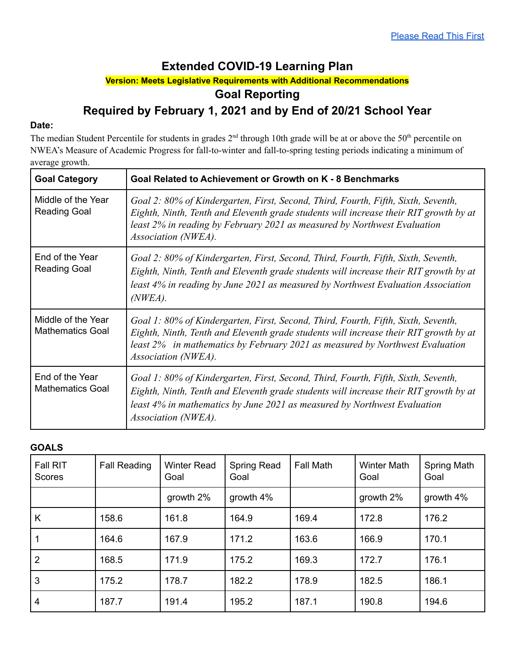# **Extended COVID-19 Learning Plan**

### **Version: Meets Legislative Requirements with Additional Recommendations**

## **Goal Reporting**

# **Required by February 1, 2021 and by End of 20/21 School Year**

### **Date:**

The median Student Percentile for students in grades  $2<sup>nd</sup>$  through 10th grade will be at or above the 50<sup>th</sup> percentile on NWEA's Measure of Academic Progress for fall-to-winter and fall-to-spring testing periods indicating a minimum of average growth.

| <b>Goal Category</b>                          | Goal Related to Achievement or Growth on K - 8 Benchmarks                                                                                                                                                                                                                         |  |  |  |  |
|-----------------------------------------------|-----------------------------------------------------------------------------------------------------------------------------------------------------------------------------------------------------------------------------------------------------------------------------------|--|--|--|--|
| Middle of the Year<br><b>Reading Goal</b>     | Goal 2: 80% of Kindergarten, First, Second, Third, Fourth, Fifth, Sixth, Seventh,<br>Eighth, Ninth, Tenth and Eleventh grade students will increase their RIT growth by at<br>least 2% in reading by February 2021 as measured by Northwest Evaluation<br>Association (NWEA).     |  |  |  |  |
| End of the Year<br><b>Reading Goal</b>        | Goal 2: 80% of Kindergarten, First, Second, Third, Fourth, Fifth, Sixth, Seventh,<br>Eighth, Ninth, Tenth and Eleventh grade students will increase their RIT growth by at<br>least 4% in reading by June 2021 as measured by Northwest Evaluation Association<br>(NWEA).         |  |  |  |  |
| Middle of the Year<br><b>Mathematics Goal</b> | Goal 1: 80% of Kindergarten, First, Second, Third, Fourth, Fifth, Sixth, Seventh,<br>Eighth, Ninth, Tenth and Eleventh grade students will increase their RIT growth by at<br>least 2% in mathematics by February 2021 as measured by Northwest Evaluation<br>Association (NWEA). |  |  |  |  |
| End of the Year<br><b>Mathematics Goal</b>    | Goal 1: 80% of Kindergarten, First, Second, Third, Fourth, Fifth, Sixth, Seventh,<br>Eighth, Ninth, Tenth and Eleventh grade students will increase their RIT growth by at<br>least 4% in mathematics by June 2021 as measured by Northwest Evaluation<br>Association (NWEA).     |  |  |  |  |

### **GOALS**

| <b>Fall RIT</b><br>Scores | <b>Fall Reading</b> | <b>Winter Read</b><br>Goal | Spring Read<br>Goal | Fall Math | <b>Winter Math</b><br>Goal | Spring Math<br>Goal |
|---------------------------|---------------------|----------------------------|---------------------|-----------|----------------------------|---------------------|
|                           |                     | growth 2%                  | growth 4%           |           | growth 2%                  | growth 4%           |
| K                         | 158.6               | 161.8                      | 164.9               | 169.4     | 172.8                      | 176.2               |
|                           | 164.6               | 167.9                      | 171.2               | 163.6     | 166.9                      | 170.1               |
| $\overline{2}$            | 168.5               | 171.9                      | 175.2               | 169.3     | 172.7                      | 176.1               |
| 3                         | 175.2               | 178.7                      | 182.2               | 178.9     | 182.5                      | 186.1               |
| 4                         | 187.7               | 191.4                      | 195.2               | 187.1     | 190.8                      | 194.6               |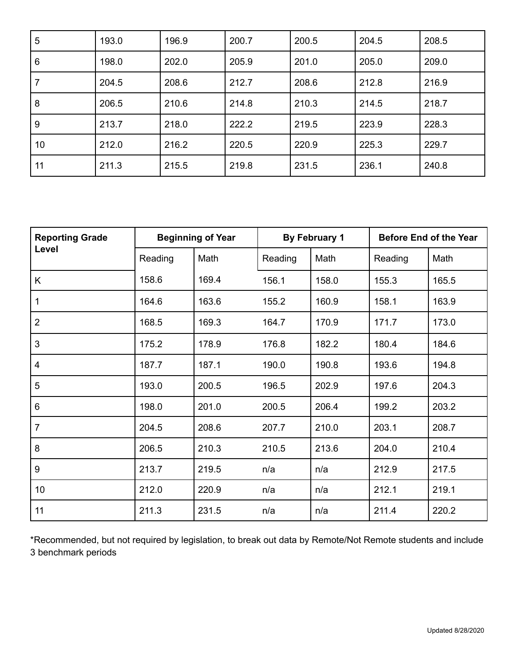| 5  | 193.0 | 196.9 | 200.7 | 200.5 | 204.5 | 208.5 |
|----|-------|-------|-------|-------|-------|-------|
| 6  | 198.0 | 202.0 | 205.9 | 201.0 | 205.0 | 209.0 |
| 7  | 204.5 | 208.6 | 212.7 | 208.6 | 212.8 | 216.9 |
| 8  | 206.5 | 210.6 | 214.8 | 210.3 | 214.5 | 218.7 |
| 9  | 213.7 | 218.0 | 222.2 | 219.5 | 223.9 | 228.3 |
| 10 | 212.0 | 216.2 | 220.5 | 220.9 | 225.3 | 229.7 |
| 11 | 211.3 | 215.5 | 219.8 | 231.5 | 236.1 | 240.8 |

| <b>Reporting Grade</b> | <b>Beginning of Year</b> |       | By February 1 |       | <b>Before End of the Year</b> |       |
|------------------------|--------------------------|-------|---------------|-------|-------------------------------|-------|
| Level                  | Reading                  | Math  | Reading       | Math  | Reading                       | Math  |
| K                      | 158.6                    | 169.4 | 156.1         | 158.0 | 155.3                         | 165.5 |
| 1                      | 164.6                    | 163.6 | 155.2         | 160.9 | 158.1                         | 163.9 |
| $\overline{2}$         | 168.5                    | 169.3 | 164.7         | 170.9 | 171.7                         | 173.0 |
| 3                      | 175.2                    | 178.9 | 176.8         | 182.2 | 180.4                         | 184.6 |
| 4                      | 187.7                    | 187.1 | 190.0         | 190.8 | 193.6                         | 194.8 |
| 5                      | 193.0                    | 200.5 | 196.5         | 202.9 | 197.6                         | 204.3 |
| 6                      | 198.0                    | 201.0 | 200.5         | 206.4 | 199.2                         | 203.2 |
| $\overline{7}$         | 204.5                    | 208.6 | 207.7         | 210.0 | 203.1                         | 208.7 |
| 8                      | 206.5                    | 210.3 | 210.5         | 213.6 | 204.0                         | 210.4 |
| 9                      | 213.7                    | 219.5 | n/a           | n/a   | 212.9                         | 217.5 |
| 10                     | 212.0                    | 220.9 | n/a           | n/a   | 212.1                         | 219.1 |
| 11                     | 211.3                    | 231.5 | n/a           | n/a   | 211.4                         | 220.2 |

\*Recommended, but not required by legislation, to break out data by Remote/Not Remote students and include benchmark periods